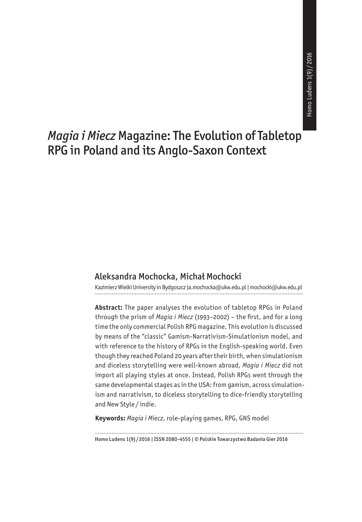# *Magia i Miecz* Magazine: The Evolution of Tabletop RPG in Poland and its Anglo-Saxon Context

#### Aleksandra Mochocka, Michał Mochocki

Kazimierz Wielki University in Bydgoszcz |a.mochocka@ukw.edu.pl | mochocki@ukw.edu.pl

**Abstract:** The paper analyses the evolution of tabletop RPGs in Poland through the prism of *Magia i Miecz* (1993–2002) – the first, and for a long time the only commercial Polish RPG magazine. This evolution is discussed by means of the "classic" Gamism-Narrativism-Simulationism model, and with reference to the history of RPGs in the English-speaking world. Even though they reached Poland 20 years after their birth, when simulationism and diceless storytelling were well-known abroad, *Magia i Miecz* did not import all playing styles at once. Instead, Polish RPGs went through the same developmental stages as in the USA: from gamism, across simulationism and narrativism, to diceless storytelling to dice-friendly storytelling and New Style / indie.

**Keywords:** *Magia i Miecz*, role-playing games, RPG, GNS model

Homo Ludens 1(9) / 2016 | ISSN 2080-4555 | © Polskie Towarzystwo Badania Gier 2016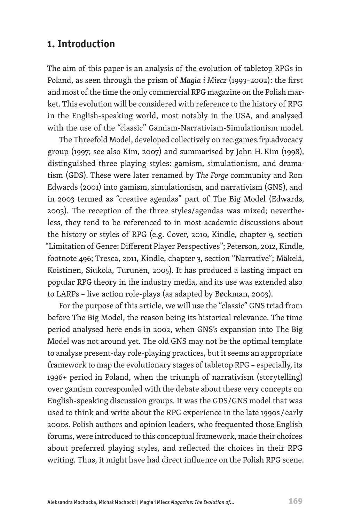## **1. Introduction**

The aim of this paper is an analysis of the evolution of tabletop RPGs in Poland, as seen through the prism of *Magia i Miecz* (1993–2002): the first and most of the time the only commercial RPG magazine on the Polish market. This evolution will be considered with reference to the history of RPG in the English-speaking world, most notably in the USA, and analysed with the use of the "classic" Gamism-Narrativism-Simulationism model.

The Threefold Model, developed collectively on rec.games.frp.advocacy group (1997; see also Kim, 2007) and summarised by John H.Kim (1998), distinguished three playing styles: gamism, simulationism, and dramatism (GDS). These were later renamed by *The Forge* community and Ron Edwards (2001) into gamism, simulationism, and narrativism (GNS), and in 2003 termed as "creative agendas" part of The Big Model (Edwards, 2003). The reception of the three styles/agendas was mixed; nevertheless, they tend to be referenced to in most academic discussions about the history or styles of RPG (e.g. Cover, 2010, Kindle, chapter 9, section "Limitation of Genre: Different Player Perspectives"; Peterson, 2012, Kindle, footnote 496; Tresca, 2011, Kindle, chapter 3, section "Narrative"; Mäkelä, Koistinen, Siukola, Turunen, 2005). It has produced a lasting impact on popular RPG theory in the industry media, and its use was extended also to LARPs – live action role-plays (as adapted by Bøckman, 2003).

For the purpose of this article, we will use the "classic" GNS triad from before The Big Model, the reason being its historical relevance. The time period analysed here ends in 2002, when GNS's expansion into The Big Model was not around yet. The old GNS may not be the optimal template to analyse present-day role-playing practices, but it seems an appropriate framework to map the evolutionary stages of tabletop RPG – especially, its 1996+ period in Poland, when the triumph of narrativism (storytelling) over gamism corresponded with the debate about these very concepts on English-speaking discussion groups. It was the GDS/GNS model that was used to think and write about the RPG experience in the late 1990s / early 2000s. Polish authors and opinion leaders, who frequented those English forums, were introduced to this conceptual framework, made their choices about preferred playing styles, and reflected the choices in their RPG writing. Thus, it might have had direct influence on the Polish RPG scene.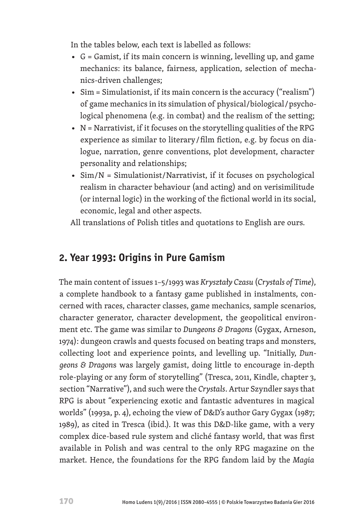In the tables below, each text is labelled as follows:

- $G =$  Gamist, if its main concern is winning, levelling up, and game mechanics: its balance, fairness, application, selection of mechanics-driven challenges;
- Sim = Simulationist, if its main concern is the accuracy ("realism") of game mechanics in its simulation of physical/biological / psychological phenomena (e.g. in combat) and the realism of the setting;
- N = Narrativist, if it focuses on the storytelling qualities of the RPG experience as similar to literary / film fiction, e.g. by focus on dialogue, narration, genre conventions, plot development, character personality and relationships;
- Sim/N = Simulationist/Narrativist, if it focuses on psychological realism in character behaviour (and acting) and on verisimilitude (or internal logic) in the working of the fictional world in its social, economic, legal and other aspects.

All translations of Polish titles and quotations to English are ours.

# **2. Year 1993: Origins in Pure Gamism**

The main content of issues 1–5/1993 was *Kryształy Czasu* (*Crystals of Time*), a complete handbook to a fantasy game published in instalments, concerned with races, character classes, game mechanics, sample scenarios, character generator, character development, the geopolitical environment etc. The game was similar to *Dungeons & Dragons* (Gygax, Arneson, 1974): dungeon crawls and quests focused on beating traps and monsters, collecting loot and experience points, and levelling up. "Initially, *Dungeons & Dragon*s was largely gamist, doing little to encourage in-depth role-playing or any form of storytelling" (Tresca, 2011, Kindle, chapter 3, section "Narrative"), and such were the *Crystals*. Artur Szyndler says that RPG is about "experiencing exotic and fantastic adventures in magical worlds" (1993a, p. 4), echoing the view of D&D's author Gary Gygax (1987; 1989), as cited in Tresca (ibid.). It was this D&D-like game, with a very complex dice-based rule system and cliché fantasy world, that was first available in Polish and was central to the only RPG magazine on the market. Hence, the foundations for the RPG fandom laid by the *Magia*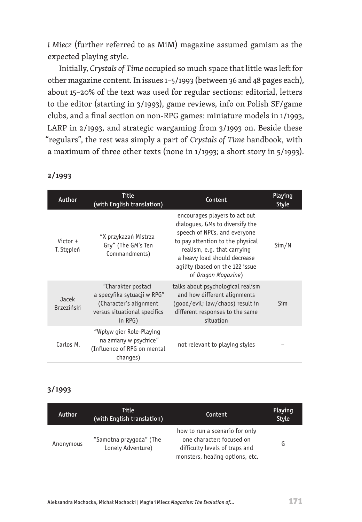*i Miecz* (further referred to as MiM) magazine assumed gamism as the expected playing style.

Initially, *Crystals of Time* occupied so much space that little was left for other magazine content. In issues 1–5/1993 (between 36 and 48 pages each), about 15–20% of the text was used for regular sections: editorial, letters to the editor (starting in 3/1993), game reviews, info on Polish SF/game clubs, and a final section on non-RPG games: miniature models in 1/1993, LARP in 2/1993, and strategic wargaming from 3/1993 on. Beside these "regulars", the rest was simply a part of *Crystals of Time* handbook, with a maximum of three other texts (none in 1/1993; a short story in 5/1993).

| Author                   | Title<br>(with English translation)                                                                                    | Content                                                                                                                                                                                                                                                       | Playing<br><b>Style</b> |
|--------------------------|------------------------------------------------------------------------------------------------------------------------|---------------------------------------------------------------------------------------------------------------------------------------------------------------------------------------------------------------------------------------------------------------|-------------------------|
| Victor $+$<br>T. Stępień | "X przykazań Mistrza<br>Gry" (The GM's Ten<br>Commandments)                                                            | encourages players to act out<br>dialogues, GMs to diversify the<br>speech of NPCs, and everyone<br>to pay attention to the physical<br>realism, e.g. that carrying<br>a heavy load should decrease<br>agility (based on the 122 issue<br>of Dragon Magazine) | Sim/N                   |
| Jacek<br>Brzeziński      | "Charakter postaci<br>a specyfika sytuacji w RPG"<br>(Character's alignment<br>versus situational specifics<br>in RPG) | talks about psychological realism<br>and how different alignments<br>(good/evil; law/chaos) result in<br>different responses to the same<br>situation                                                                                                         | Sim                     |
| Carlos M.                | "Wpływ gier Role-Playing<br>na zmiany w psychice"<br>(Influence of RPG on mental<br>changes)                           | not relevant to playing styles                                                                                                                                                                                                                                |                         |

#### **2/1993**

#### **3/1993**

| Author    | Title<br>(with English translation)          | Content                                                                                                                          | Playing<br>Style |
|-----------|----------------------------------------------|----------------------------------------------------------------------------------------------------------------------------------|------------------|
| Anonymous | "Samotna przygoda" (The<br>Lonely Adventure) | how to run a scenario for only<br>one character; focused on<br>difficulty levels of traps and<br>monsters, healing options, etc. | G                |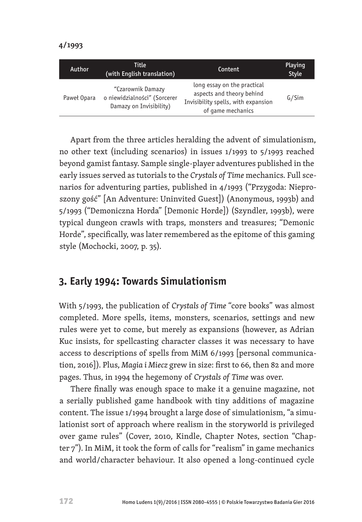| Author      | Title<br>Content<br>(with English translation)                               |                                                                                                                      | Playing<br>Style |
|-------------|------------------------------------------------------------------------------|----------------------------------------------------------------------------------------------------------------------|------------------|
| Paweł Opara | "Czarownik Damazy<br>o niewidzialności" (Sorcerer<br>Damazy on Invisibility) | long essay on the practical<br>aspects and theory behind<br>Invisibility spells, with expansion<br>of game mechanics | G/Sim            |

Apart from the three articles heralding the advent of simulationism, no other text (including scenarios) in issues 1/1993 to 5/1993 reached beyond gamist fantasy. Sample single-player adventures published in the early issues served as tutorials to the *Crystals of Time* mechanics. Full scenarios for adventuring parties, published in 4/1993 ("Przygoda: Nieproszony gość" [An Adventure: Uninvited Guest]) (Anonymous, 1993b) and 5/1993 ("Demoniczna Horda" [Demonic Horde]) (Szyndler, 1993b), were typical dungeon crawls with traps, monsters and treasures; "Demonic Horde", specifically, was later remembered as the epitome of this gaming style (Mochocki, 2007, p. 35).

# **3. Early 1994: Towards Simulationism**

With 5/1993, the publication of *Crystals of Time* "core books" was almost completed. More spells, items, monsters, scenarios, settings and new rules were yet to come, but merely as expansions (however, as Adrian Kuc insists, for spellcasting character classes it was necessary to have access to descriptions of spells from MiM 6/1993 [personal communication, 2016]). Plus, *Magia i Miecz* grew in size: first to 66, then 82 and more pages. Thus, in 1994 the hegemony of *Crystals of Time* was over.

There finally was enough space to make it a genuine magazine, not a serially published game handbook with tiny additions of magazine content. The issue 1/1994 brought a large dose of simulationism, "a simulationist sort of approach where realism in the storyworld is privileged over game rules" (Cover, 2010, Kindle, Chapter Notes, section "Chapter 7"). In MiM, it took the form of calls for "realism" in game mechanics and world/character behaviour. It also opened a long-continued cycle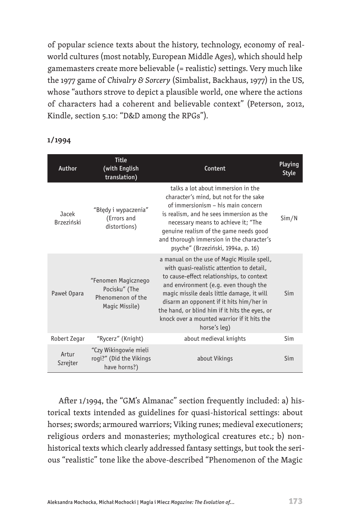of popular science texts about the history, technology, economy of realworld cultures (most notably, European Middle Ages), which should help gamemasters create more believable (= realistic) settings. Very much like the 1977 game of *Chivalry & Sorcery* (Simbalist, Backhaus, 1977) in the US, whose "authors strove to depict a plausible world, one where the actions of characters had a coherent and believable context" (Peterson, 2012, Kindle, section 5.10: "D&D among the RPGs").

| Author                     | <b>Title</b><br>(with English<br>translation)                               | Content                                                                                                                                                                                                                                                                                                                                                                                   | Playing<br><b>Style</b> |
|----------------------------|-----------------------------------------------------------------------------|-------------------------------------------------------------------------------------------------------------------------------------------------------------------------------------------------------------------------------------------------------------------------------------------------------------------------------------------------------------------------------------------|-------------------------|
| Jacek<br><b>Brzeziński</b> | "Błędy i wypaczenia"<br>(Errors and<br>distortions)                         | talks a lot about immersion in the<br>character's mind, but not for the sake<br>of immersionism - his main concern<br>is realism, and he sees immersion as the<br>necessary means to achieve it; "The<br>genuine realism of the game needs good<br>and thorough immersion in the character's<br>psyche" (Brzeziński, 1994a, p. 16)                                                        | Sim/N                   |
| Paweł Opara                | "Fenomen Magicznego<br>Pocisku" (The<br>Phenomenon of the<br>Magic Missile) | a manual on the use of Magic Missile spell,<br>with quasi-realistic attention to detail,<br>to cause-effect relationships, to context<br>and environment (e.g. even though the<br>magic missile deals little damage, it will<br>disarm an opponent if it hits him/her in<br>the hand, or blind him if it hits the eyes, or<br>knock over a mounted warrior if it hits the<br>horse's leg) | Sim                     |
| Robert Zegar               | "Rycerz" (Knight)                                                           | about medieval knights                                                                                                                                                                                                                                                                                                                                                                    | Sim                     |
| Artur<br>Szrejter          | "Czy Wikingowie mieli<br>rogi?" (Did the Vikings<br>have horns?)            | about Vikings                                                                                                                                                                                                                                                                                                                                                                             | Sim                     |

**1/1994**

After 1/1994, the "GM's Almanac" section frequently included: a) historical texts intended as guidelines for quasi-historical settings: about horses; swords; armoured warriors; Viking runes; medieval executioners; religious orders and monasteries; mythological creatures etc.; b) nonhistorical texts which clearly addressed fantasy settings, but took the serious "realistic" tone like the above-described "Phenomenon of the Magic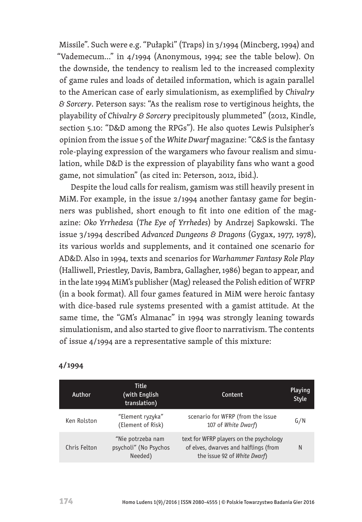Missile". Such were e.g. "Pułapki" (Traps) in 3/1994 (Mincberg, 1994) and "Vademecum…" in 4/1994 (Anonymous, 1994; see the table below). On the downside, the tendency to realism led to the increased complexity of game rules and loads of detailed information, which is again parallel to the American case of early simulationism, as exemplified by *Chivalry & Sorcery*. Peterson says: "As the realism rose to vertiginous heights, the playability of *Chivalry & Sorcery* precipitously plummeted" (2012, Kindle, section 5.10: "D&D among the RPGs"). He also quotes Lewis Pulsipher's opinion from the issue 5 of the *White Dwarf* magazine: "C&S is the fantasy role-playing expression of the wargamers who favour realism and simulation, while D&D is the expression of playability fans who want a good game, not simulation" (as cited in: Peterson, 2012, ibid.).

Despite the loud calls for realism, gamism was still heavily present in MiM. For example, in the issue 2/1994 another fantasy game for beginners was published, short enough to fit into one edition of the magazine: *Oko Yrrhedesa* (*The Eye of Yrrhedes*) by Andrzej Sapkowski. The issue 3/1994 described *Advanced Dungeons & Dragons* (Gygax, 1977, 1978), its various worlds and supplements, and it contained one scenario for AD&D.Also in 1994, texts and scenarios for *Warhammer Fantasy Role Play* (Halliwell, Priestley, Davis, Bambra, Gallagher, 1986) began to appear, and in the late 1994 MiM's publisher (Mag) released the Polish edition of WFRP (in a book format). All four games featured in MiM were heroic fantasy with dice-based rule systems presented with a gamist attitude. At the same time, the "GM's Almanac" in 1994 was strongly leaning towards simulationism, and also started to give floor to narrativism. The contents of issue 4/1994 are a representative sample of this mixture:

| Author       | <b>Title</b><br>(with English<br>translation)         | Content                                                                                                          | Playing<br><b>Style</b> |
|--------------|-------------------------------------------------------|------------------------------------------------------------------------------------------------------------------|-------------------------|
| Ken Rolston  | "Element ryzyka"<br>(Element of Risk)                 | scenario for WFRP (from the issue<br>107 of White Dwarf)                                                         | G/N                     |
| Chris Felton | "Nie potrzeba nam<br>psycholi" (No Psychos<br>Needed) | text for WFRP players on the psychology<br>of elves, dwarves and halflings (from<br>the issue 92 of White Dwarf) | N                       |

#### **4/1994**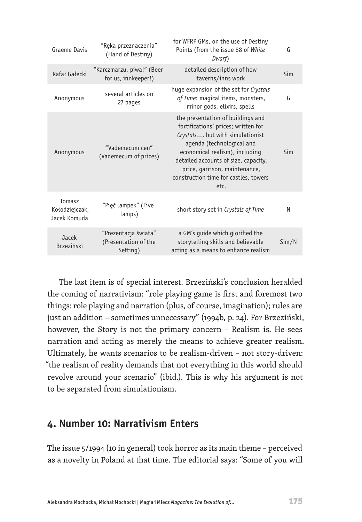| Graeme Davis                             | "Ręka przeznaczenia"<br>(Hand of Destiny)                | for WFRP GMs, on the use of Destiny<br>Points (from the issue 88 of White<br>Dwarf)                                                                                                                                                                                                                   | G     |
|------------------------------------------|----------------------------------------------------------|-------------------------------------------------------------------------------------------------------------------------------------------------------------------------------------------------------------------------------------------------------------------------------------------------------|-------|
| Rafał Gałecki                            | "Karczmarzu, piwa!" (Beer<br>for us, innkeeper!)         | detailed description of how<br>taverns/inns work                                                                                                                                                                                                                                                      | Sim   |
| Anonymous                                | several articles on<br>27 pages                          | huge expansion of the set for Crystals<br>of Time: magical items, monsters,<br>minor gods, elixirs, spells                                                                                                                                                                                            | G     |
| Anonymous                                | "Vademecum cen"<br>(Vademecum of prices)                 | the presentation of buildings and<br>fortifications' prices; written for<br>Crystals, but with simulationist<br>agenda (technological and<br>economical realism), including<br>detailed accounts of size, capacity,<br>price, garrison, maintenance,<br>construction time for castles, towers<br>etc. | Sim   |
| Tomasz<br>Kołodziejczak,<br>Jacek Komuda | "Pięć lampek" (Five<br>lamps)                            | short story set in Crystals of Time                                                                                                                                                                                                                                                                   | N     |
| Jacek<br>Brzeziński                      | "Prezentacja świata"<br>(Presentation of the<br>Setting) | a GM's guide which glorified the<br>storytelling skills and believable<br>acting as a means to enhance realism                                                                                                                                                                                        | Sim/N |

The last item is of special interest. Brzeziński's conclusion heralded the coming of narrativism: "role playing game is first and foremost two things: role playing and narration (plus, of course, imagination); rules are just an addition – sometimes unnecessary" (1994b, p. 24). For Brzeziński, however, the Story is not the primary concern – Realism is. He sees narration and acting as merely the means to achieve greater realism. Ultimately, he wants scenarios to be realism-driven – not story-driven: "the realism of reality demands that not everything in this world should revolve around your scenario" (ibid.). This is why his argument is not to be separated from simulationism.

## **4. Number 10: Narrativism Enters**

The issue 5/1994 (10 in general) took horror as its main theme – perceived as a novelty in Poland at that time. The editorial says: "Some of you will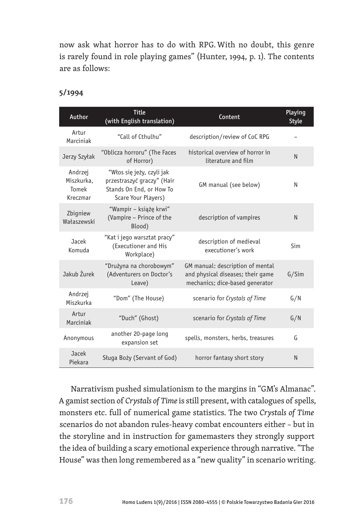now ask what horror has to do with RPG. With no doubt, this genre is rarely found in role playing games" (Hunter, 1994, p. 1). The contents are as follows:

| Author                                     | <b>Title</b><br>(with English translation)                                                                 | Content                                                                                                  | Playing<br>Style |
|--------------------------------------------|------------------------------------------------------------------------------------------------------------|----------------------------------------------------------------------------------------------------------|------------------|
| Artur<br>Marciniak                         | "Call of Cthulhu"                                                                                          | description/review of CoC RPG                                                                            |                  |
| Jerzy Szyłak                               | "Oblicza horroru" (The Faces<br>of Horror)                                                                 | historical overview of horror in<br>literature and film                                                  | N                |
| Andrzej<br>Miszkurka,<br>Tomek<br>Kreczmar | "Włos się jeży, czyli jak<br>przestraszyć graczy" (Hair<br>Stands On End, or How To<br>Scare Your Players) | GM manual (see below)                                                                                    | N                |
| Zbigniew<br>Wałaszewski                    | "Wampir - książę krwi"<br>(Vampire - Prince of the<br>Blood)                                               | description of vampires                                                                                  | N                |
| Jacek<br>Komuda                            | "Kat i jego warsztat pracy"<br>(Executioner and His<br>Workplace)                                          | description of medieval<br>executioner's work                                                            | Sim              |
| Jakub Żurek                                | "Drużyna na chorobowym"<br>(Adventurers on Doctor's<br>Leave)                                              | GM manual: description of mental<br>and physical diseases; their game<br>mechanics; dice-based generator | G/Sim            |
| Andrzej<br>Miszkurka                       | "Dom" (The House)                                                                                          | scenario for Crystals of Time                                                                            | G/N              |
| Artur<br>Marciniak                         | "Duch" (Ghost)                                                                                             | scenario for Crystals of Time                                                                            | G/N              |
| Anonymous                                  | another 20-page long<br>expansion set                                                                      | spells, monsters, herbs, treasures                                                                       | G                |
| Jacek<br>Piekara                           | Sługa Boży (Servant of God)                                                                                | horror fantasy short story                                                                               | N                |

#### **5/1994**

Narrativism pushed simulationism to the margins in "GM's Almanac". A gamist section of *Crystals of Time* is still present, with catalogues of spells, monsters etc. full of numerical game statistics. The two *Crystals of Time* scenarios do not abandon rules-heavy combat encounters either – but in the storyline and in instruction for gamemasters they strongly support the idea of building a scary emotional experience through narrative. "The House" was then long remembered as a "new quality" in scenario writing.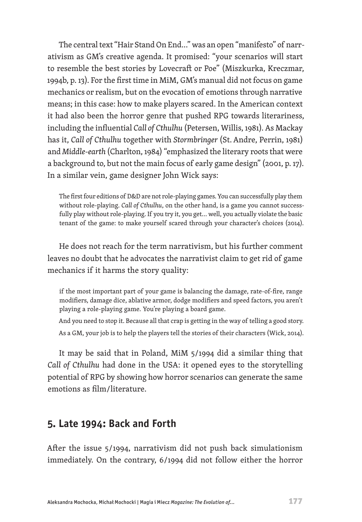The central text "Hair Stand On End..." was an open "manifesto" of narrativism as GM's creative agenda. It promised: "your scenarios will start to resemble the best stories by Lovecraft or Poe" (Miszkurka, Kreczmar, 1994b, p. 13). For the first time in MiM, GM's manual did not focus on game mechanics or realism, but on the evocation of emotions through narrative means; in this case: how to make players scared. In the American context it had also been the horror genre that pushed RPG towards literariness, including the influential *Call of Cthulhu* (Petersen, Willis, 1981). As Mackay has it, *Call of Cthulhu* together with *Stormbringer* (St.Andre, Perrin, 1981) and *Middle-earth* (Charlton, 1984) "emphasized the literary roots that were a background to, but not the main focus of early game design" (2001, p. 17). In a similar vein, game designer John Wick says:

The first four editions of D&D are not role-playing games. You can successfully play them without role-playing. *Call of Cthulhu*, on the other hand, is a game you cannot successfully play without role-playing. If you try it, you get… well, you actually violate the basic tenant of the game: to make yourself scared through your character's choices (2014).

He does not reach for the term narrativism, but his further comment leaves no doubt that he advocates the narrativist claim to get rid of game mechanics if it harms the story quality:

if the most important part of your game is balancing the damage, rate-of-fire, range modifiers, damage dice, ablative armor, dodge modifiers and speed factors, you aren't playing a role-playing game. You're playing a board game.

And you need to stop it. Because all that crap is getting in the way of telling a good story. As a GM, your job is to help the players tell the stories of their characters (Wick, 2014).

It may be said that in Poland, MiM 5/1994 did a similar thing that *Call of Cthulhu* had done in the USA: it opened eyes to the storytelling potential of RPG by showing how horror scenarios can generate the same emotions as film/literature.

## **5. Late 1994: Back and Forth**

After the issue 5/1994, narrativism did not push back simulationism immediately. On the contrary, 6/1994 did not follow either the horror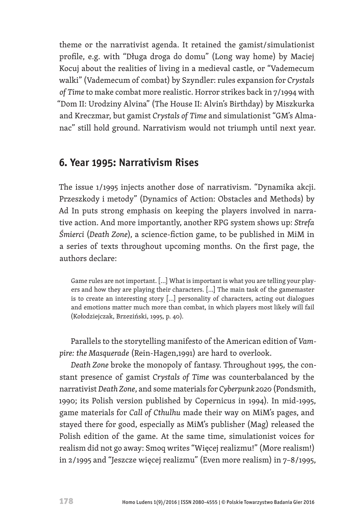theme or the narrativist agenda. It retained the gamist/simulationist profile, e.g. with "Długa droga do domu" (Long way home) by Maciej Kocuj about the realities of living in a medieval castle, or "Vademecum walki" (Vademecum of combat) by Szyndler: rules expansion for *Crystals of Time* to make combat more realistic. Horror strikes back in 7/1994 with "Dom II: Urodziny Alvina" (The House II: Alvin's Birthday) by Miszkurka and Kreczmar, but gamist *Crystals of Time* and simulationist "GM's Almanac" still hold ground. Narrativism would not triumph until next year.

## **6. Year 1995: Narrativism Rises**

The issue 1/1995 injects another dose of narrativism. "Dynamika akcji. Przeszkody i metody" (Dynamics of Action: Obstacles and Methods) by Ad In puts strong emphasis on keeping the players involved in narrative action. And more importantly, another RPG system shows up: *Strefa Śmierci* (*Death Zone*), a science-fiction game, to be published in MiM in a series of texts throughout upcoming months. On the first page, the authors declare:

Game rules are not important. […] What is important is what you are telling your players and how they are playing their characters. […] The main task of the gamemaster is to create an interesting story […] personality of characters, acting out dialogues and emotions matter much more than combat, in which players most likely will fail (Kołodziejczak, Brzeziński, 1995, p. 40).

Parallels to the storytelling manifesto of the American edition of *Vampire: the Masquerade* (Rein-Hagen,1991) are hard to overlook.

*Death Zone* broke the monopoly of fantasy. Throughout 1995, the constant presence of gamist *Crystals of Time* was counterbalanced by the narrativist *Death Zone*, and some materials for *Cyberpunk 2020* (Pondsmith, 1990; its Polish version published by Copernicus in 1994). In mid-1995, game materials for *Call of Cthulhu* made their way on MiM's pages, and stayed there for good, especially as MiM's publisher (Mag) released the Polish edition of the game. At the same time, simulationist voices for realism did not go away: Smoq writes "Więcej realizmu!" (More realism!) in 2/1995 and "Jeszcze więcej realizmu" (Even more realism) in 7–8/1995,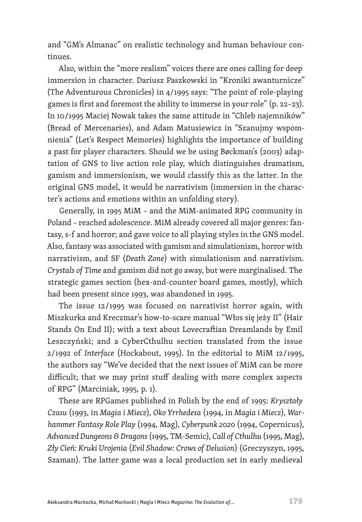and "GM's Almanac" on realistic technology and human behaviour continues.

Also, within the "more realism" voices there are ones calling for deep immersion in character. Dariusz Paszkowski in "Kroniki awanturnicze" (The Adventurous Chronicles) in 4/1995 says: "The point of role-playing games is first and foremost the ability to immerse in your role" (p. 22–23). In 10/1995 Maciej Nowak takes the same attitude in "Chleb najemników" (Bread of Mercenaries), and Adam Matusiewicz in "Szanujmy wspomnienia" (Let's Respect Memories) highlights the importance of building a past for player characters. Should we be using Bøckman's (2003) adaptation of GNS to live action role play, which distinguishes dramatism, gamism and immersionism, we would classify this as the latter. In the original GNS model, it would be narrativism (immersion in the character's actions and emotions within an unfolding story).

Generally, in 1995 MiM – and the MiM-animated RPG community in Poland – reached adolescence. MiM already covered all major genres: fantasy, s-f and horror; and gave voice to all playing styles in the GNS model. Also, fantasy was associated with gamism and simulationism, horror with narrativism, and SF (*Death Zone*) with simulationism and narrativism. *Crystals of Time* and gamism did not go away, but were marginalised. The strategic games section (hex-and-counter board games, mostly), which had been present since 1993, was abandoned in 1995.

The issue 12/1995 was focused on narrativist horror again, with Miszkurka and Kreczmar's how-to-scare manual "Włos się jeży II" (Hair Stands On End II); with a text about Lovecraftian Dreamlands by Emil Leszczyński; and a CyberCthulhu section translated from the issue 2/1992 of *Interface* (Hockabout, 1995). In the editorial to MiM 12/1995, the authors say "We've decided that the next issues of MiM can be more difficult; that we may print stuff dealing with more complex aspects of RPG" (Marciniak, 1995, p. 1).

These are RPGames published in Polish by the end of 1995: *Kryształy Czasu* (1993, in *Magia i Miecz*), *Oko Yrrhedesa* (1994, in *Magia i Miecz*), *Warhammer Fantasy Role Play* (1994, Mag), *Cyberpunk 2020* (1994, Copernicus), *Advanced Dungeons & Dragons* (1995, TM-Semic), *Call of Cthulhu* (1995, Mag), *Zły Cień: Kruki Urojenia* (*Evil Shadow: Crows of Delusion*) (Greczyszyn, 1995, Szaman). The latter game was a local production set in early medieval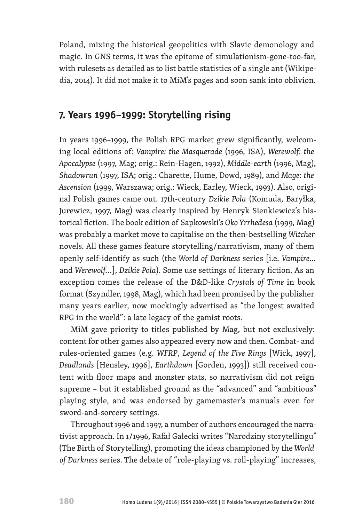Poland, mixing the historical geopolitics with Slavic demonology and magic. In GNS terms, it was the epitome of simulationism-gone-too-far, with rulesets as detailed as to list battle statistics of a single ant (Wikipedia, 2014). It did not make it to MiM's pages and soon sank into oblivion.

## **7. Years 1996–1999: Storytelling rising**

In years 1996–1999, the Polish RPG market grew significantly, welcoming local editions of: *Vampire: the Masquerade* (1996, ISA), *Werewolf: the Apocalypse* (1997, Mag; orig.: Rein-Hagen, 1992), *Middle-earth* (1996, Mag), *Shadowrun* (1997, ISA; orig.: Charette, Hume, Dowd, 1989), and *Mage: the Ascension* (1999, Warszawa; orig.: Wieck, Earley, Wieck, 1993). Also, original Polish games came out. 17th-century *Dzikie Pola* (Komuda, Baryłka, Jurewicz, 1997, Mag) was clearly inspired by Henryk Sienkiewicz's historical fiction. The book edition of Sapkowski's *Oko Yrrhedesa* (1999, Mag) was probably a market move to capitalise on the then-bestselling *Witcher*  novels. All these games feature storytelling/narrativism, many of them openly self-identify as such (the *World of Darkness* series [i.e. *Vampire...* and *Werewolf...*], *Dzikie Pola*). Some use settings of literary fiction. As an exception comes the release of the D&D-like *Crystals of Time* in book format (Szyndler, 1998, Mag), which had been promised by the publisher many years earlier, now mockingly advertised as "the longest awaited RPG in the world": a late legacy of the gamist roots.

MiM gave priority to titles published by Mag, but not exclusively: content for other games also appeared every now and then. Combat- and rules-oriented games (e.g. *WFRP*, *Legend of the Five Rings* [Wick, 1997], *Deadlands* [Hensley, 1996], *Earthdawn* [Gorden, 1993]) still received content with floor maps and monster stats, so narrativism did not reign supreme – but it established ground as the "advanced" and "ambitious" playing style, and was endorsed by gamemaster's manuals even for sword-and-sorcery settings.

Throughout 1996 and 1997, a number of authors encouraged the narrativist approach. In 1/1996, Rafał Gałecki writes "Narodziny storytellingu" (The Birth of Storytelling), promoting the ideas championed by the *World of Darkness* series. The debate of "role-playing vs. roll-playing" increases,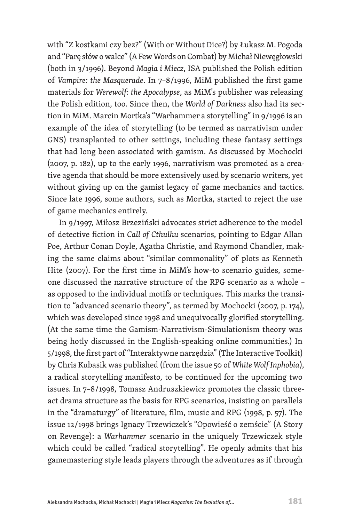with "Z kostkami czy bez?" (With or Without Dice?) by Łukasz M. Pogoda and "Parę słów o walce" (A Few Words on Combat) by Michał Niewęgłowski (both in 3/1996). Beyond *Magia i Miecz*, ISA published the Polish edition of *Vampire: the Masquerade*. In 7–8/1996, MiM published the first game materials for *Werewolf: the Apocalypse*, as MiM's publisher was releasing the Polish edition, too. Since then, the *World of Darkness* also had its section in MiM. Marcin Mortka's "Warhammer a storytelling" in 9/1996 is an example of the idea of storytelling (to be termed as narrativism under GNS) transplanted to other settings, including these fantasy settings that had long been associated with gamism. As discussed by Mochocki (2007, p. 182), up to the early 1996, narrativism was promoted as a creative agenda that should be more extensively used by scenario writers, yet without giving up on the gamist legacy of game mechanics and tactics. Since late 1996, some authors, such as Mortka, started to reject the use of game mechanics entirely.

In 9/1997, Miłosz Brzeziński advocates strict adherence to the model of detective fiction in *Call of Cthulhu* scenarios, pointing to Edgar Allan Poe, Arthur Conan Doyle, Agatha Christie, and Raymond Chandler, making the same claims about "similar commonality" of plots as Kenneth Hite (2007). For the first time in MiM's how-to scenario guides, someone discussed the narrative structure of the RPG scenario as a whole – as opposed to the individual motifs or techniques. This marks the transition to "advanced scenario theory", as termed by Mochocki (2007, p. 174), which was developed since 1998 and unequivocally glorified storytelling. (At the same time the Gamism-Narrativism-Simulationism theory was being hotly discussed in the English-speaking online communities.) In 5/1998, the first part of "Interaktywne narzędzia" (The Interactive Toolkit) by Chris Kubasik was published (from the issue 50 of *White Wolf Inphobia*), a radical storytelling manifesto, to be continued for the upcoming two issues. In 7–8/1998, Tomasz Andruszkiewicz promotes the classic threeact drama structure as the basis for RPG scenarios, insisting on parallels in the "dramaturgy" of literature, film, music and RPG (1998, p. 57). The issue 12/1998 brings Ignacy Trzewiczek's "Opowieść o zemście" (A Story on Revenge): a *Warhammer* scenario in the uniquely Trzewiczek style which could be called "radical storytelling". He openly admits that his gamemastering style leads players through the adventures as if through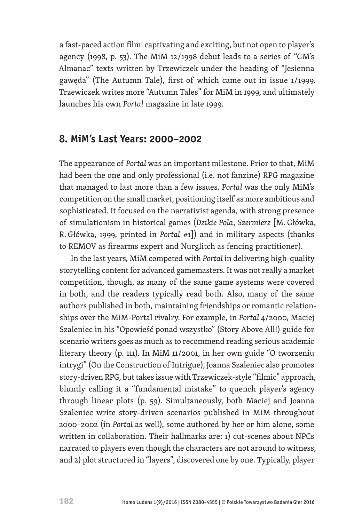a fast-paced action film: captivating and exciting, but not open to player's agency (1998, p. 53). The MiM 12/1998 debut leads to a series of "GM's Almanac" texts written by Trzewiczek under the heading of "Jesienna gawęda" (The Autumn Tale), first of which came out in issue 1/1999. Trzewiczek writes more "Autumn Tales" for MiM in 1999, and ultimately launches his own *Portal* magazine in late 1999.

#### **8. MiM's Last Years: 2000–2002**

The appearance of *Portal* was an important milestone. Prior to that, MiM had been the one and only professional (i.e. not fanzine) RPG magazine that managed to last more than a few issues. *Portal* was the only MiM's competition on the small market, positioning itself as more ambitious and sophisticated. It focused on the narrativist agenda, with strong presence of simulationism in historical games (*Dzikie Pola*, *Szermierz* [M. Główka, R. Główka, 1999, printed in *Portal #*1]) and in military aspects (thanks to REMOV as firearms expert and Nurglitch as fencing practitioner).

In the last years, MiM competed with *Portal* in delivering high-quality storytelling content for advanced gamemasters. It was not really a market competition, though, as many of the same game systems were covered in both, and the readers typically read both. Also, many of the same authors published in both, maintaining friendships or romantic relationships over the MiM-Portal rivalry. For example, in *Portal* 4/2000, Maciej Szaleniec in his "Opowieść ponad wszystko" (Story Above All!) guide for scenario writers goes as much as to recommend reading serious academic literary theory (p. 111). In MiM 11/2001, in her own guide "O tworzeniu intrygi" (On the Construction of Intrigue), Joanna Szaleniec also promotes story-driven RPG, but takes issue with Trzewiczek-style "filmic" approach, bluntly calling it a "fundamental mistake" to quench player's agency through linear plots (p. 59). Simultaneously, both Maciej and Joanna Szaleniec write story-driven scenarios published in MiM throughout 2000–2002 (in *Portal* as well), some authored by her or him alone, some written in collaboration. Their hallmarks are: 1) cut-scenes about NPCs narrated to players even though the characters are not around to witness, and 2) plot structured in "layers", discovered one by one. Typically, player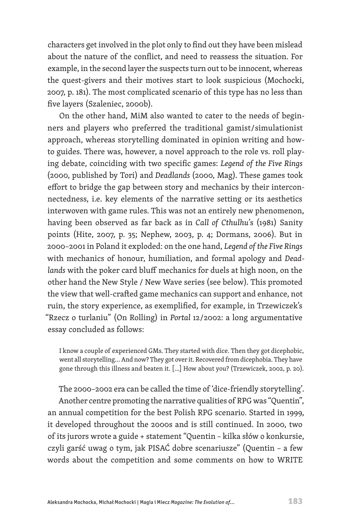characters get involved in the plot only to find out they have been mislead about the nature of the conflict, and need to reassess the situation. For example, in the second layer the suspects turn out to be innocent, whereas the quest-givers and their motives start to look suspicious (Mochocki, 2007, p. 181). The most complicated scenario of this type has no less than five layers (Szaleniec, 2000b).

On the other hand, MiM also wanted to cater to the needs of beginners and players who preferred the traditional gamist/simulationist approach, whereas storytelling dominated in opinion writing and howto guides. There was, however, a novel approach to the role vs. roll playing debate, coinciding with two specific games: *Legend of the Five Rings*  (2000, published by Tori) and *Deadlands* (2000, Mag). These games took effort to bridge the gap between story and mechanics by their interconnectedness, i.e. key elements of the narrative setting or its aesthetics interwoven with game rules. This was not an entirely new phenomenon, having been observed as far back as in *Call of Cthulhu*'s (1981) Sanity points (Hite, 2007, p. 35; Nephew, 2003, p. 4; Dormans, 2006). But in 2000–2001 in Poland it exploded: on the one hand, *Legend of the Five Rings*  with mechanics of honour, humiliation, and formal apology and *Deadlands* with the poker card bluff mechanics for duels at high noon, on the other hand the New Style / New Wave series (see below). This promoted the view that well-crafted game mechanics can support and enhance, not ruin, the story experience, as exemplified, for example, in Trzewiczek's "Rzecz o turlaniu" (On Rolling) in *Portal* 12/2002: a long argumentative essay concluded as follows:

I know a couple of experienced GMs. They started with dice. Then they got dicephobic, went all storytelling… And now? They got over it. Recovered from dicephobia. They have gone through this illness and beaten it. […] How about you? (Trzewiczek, 2002, p. 20).

The 2000–2002 era can be called the time of 'dice-friendly storytelling'. Another centre promoting the narrative qualities of RPG was "Quentin", an annual competition for the best Polish RPG scenario. Started in 1999, it developed throughout the 2000s and is still continued. In 2000, two of its jurors wrote a guide + statement "Quentin – kilka słów o konkursie, czyli garść uwag o tym, jak PISAĆ dobre scenariusze" (Quentin – a few words about the competition and some comments on how to WRITE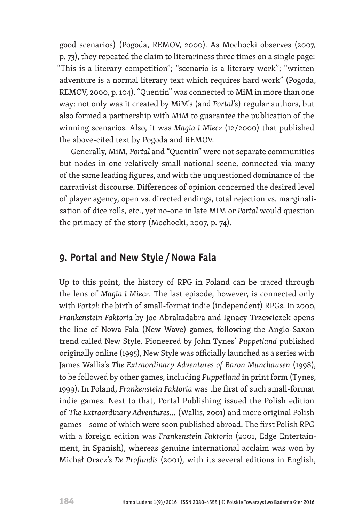good scenarios) (Pogoda, REMOV, 2000). As Mochocki observes (2007, p. 73), they repeated the claim to literariness three times on a single page: "This is a literary competition"; "scenario is a literary work"; "written adventure is a normal literary text which requires hard work" (Pogoda, REMOV, 2000, p. 104). "Quentin" was connected to MiM in more than one way: not only was it created by MiM's (and *Portal*'s) regular authors, but also formed a partnership with MiM to guarantee the publication of the winning scenarios. Also, it was *Magia i Miecz* (12/2000) that published the above-cited text by Pogoda and REMOV.

Generally, MiM, *Portal* and "Quentin" were not separate communities but nodes in one relatively small national scene, connected via many of the same leading figures, and with the unquestioned dominance of the narrativist discourse. Differences of opinion concerned the desired level of player agency, open vs. directed endings, total rejection vs. marginalisation of dice rolls, etc., yet no-one in late MiM or *Portal* would question the primacy of the story (Mochocki, 2007, p. 74).

## **9. Portal and New Style /Nowa Fala**

Up to this point, the history of RPG in Poland can be traced through the lens of *Magia i Miecz*. The last episode, however, is connected only with *Portal*: the birth of small-format indie (independent) RPGs. In 2000, *Frankenstein Faktoria* by Joe Abrakadabra and Ignacy Trzewiczek opens the line of Nowa Fala (New Wave) games, following the Anglo-Saxon trend called New Style. Pioneered by John Tynes' *Puppetland* published originally online (1995), New Style was officially launched as a series with James Wallis's *The Extraordinary Adventures of Baron Munchausen* (1998), to be followed by other games, including *Puppetland* in print form (Tynes, 1999). In Poland, *Frankenstein Faktoria* was the first of such small-format indie games. Next to that, Portal Publishing issued the Polish edition of *The Extraordinary Adventures...* (Wallis, 2001) and more original Polish games – some of which were soon published abroad. The first Polish RPG with a foreign edition was *Frankenstein Faktoria* (2001, Edge Entertainment, in Spanish), whereas genuine international acclaim was won by Michał Oracz's *De Profundis* (2001), with its several editions in English,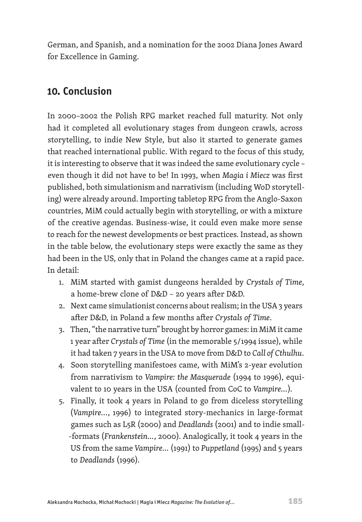German, and Spanish, and a nomination for the 2002 Diana Jones Award for Excellence in Gaming.

# **10. Conclusion**

In 2000–2002 the Polish RPG market reached full maturity. Not only had it completed all evolutionary stages from dungeon crawls, across storytelling, to indie New Style, but also it started to generate games that reached international public. With regard to the focus of this study, it is interesting to observe that it was indeed the same evolutionary cycle – even though it did not have to be! In 1993, when *Magia i Miecz* was first published, both simulationism and narrativism (including WoD storytelling) were already around. Importing tabletop RPG from the Anglo-Saxon countries, MiM could actually begin with storytelling, or with a mixture of the creative agendas. Business-wise, it could even make more sense to reach for the newest developments or best practices. Instead, as shown in the table below, the evolutionary steps were exactly the same as they had been in the US, only that in Poland the changes came at a rapid pace. In detail:

- 1. MiM started with gamist dungeons heralded by *Crystals of Time*, a home-brew clone of D&D – 20 years after D&D.
- 2. Next came simulationist concerns about realism; in the USA 3 years after D&D, in Poland a few months after *Crystals of Time*.
- 3. Then, "the narrative turn" brought by horror games: in MiM it came 1 year after *Crystals of Time* (in the memorable 5/1994 issue), while it had taken 7 years in the USA to move from D&D to *Call of Cthulhu*.
- 4. Soon storytelling manifestoes came, with MiM's 2-year evolution from narrativism to *Vampire: the Masquerade* (1994 to 1996), equivalent to 10 years in the USA (counted from CoC to *Vampire...*).
- 5. Finally, it took 4 years in Poland to go from diceless storytelling (*Vampire...*, 1996) to integrated story-mechanics in large-format games such as L5R (2000) and *Deadlands* (2001) and to indie small- -formats (*Frankenstein...*, 2000). Analogically, it took 4 years in the US from the same *Vampire...* (1991) to *Puppetland* (1995) and 5 years to *Deadlands* (1996).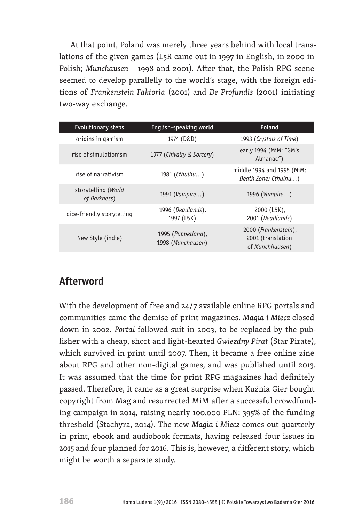At that point, Poland was merely three years behind with local translations of the given games (L5R came out in 1997 in English, in 2000 in Polish; *Munchausen*  – 1998 and 2001). After that, the Polish RPG scene seemed to develop parallelly to the world's stage, with the foreign editions of *Frankenstein Faktoria* (2001) and *De Profundis* (2001) initiating two-way exchange.

| <b>Evolutionary steps</b>           | English-speaking world                  | Poland                                                       |
|-------------------------------------|-----------------------------------------|--------------------------------------------------------------|
| origins in gamism                   | 1974 (D&D)                              | 1993 (Crystals of Time)                                      |
| rise of simulationism               | 1977 (Chivalry & Sorcery)               | early 1994 (MiM: "GM's<br>Almanac")                          |
| rise of narrativism                 | 1981 (Cthulhu)                          | middle 1994 and 1995 (MiM:<br>Death Zone; Cthulhu)           |
| storytelling (World<br>of Darkness) | 1991 (Vampire)                          | 1996 (Vampire)                                               |
| dice-friendly storytelling          | 1996 (Deadlands),<br>1997 (L5K)         | 2000 (L5K),<br>2001 (Deadlands)                              |
| New Style (indie)                   | 1995 (Puppetland),<br>1998 (Munchausen) | 2000 (Frankenstein),<br>2001 (translation<br>of Munchhausen) |

# **Afterword**

With the development of free and 24/7 available online RPG portals and communities came the demise of print magazines. *Magia i Miecz* closed down in 2002. *Portal* followed suit in 2003, to be replaced by the publisher with a cheap, short and light-hearted *Gwiezdny Pirat* (Star Pirate), which survived in print until 2007. Then, it became a free online zine about RPG and other non-digital games, and was published until 2013. It was assumed that the time for print RPG magazines had definitely passed. Therefore, it came as a great surprise when Kuźnia Gier bought copyright from Mag and resurrected MiM after a successful crowdfunding campaign in 2014, raising nearly 100.000 PLN: 395% of the funding threshold (Stachyra, 2014). The new *Magia i Miecz* comes out quarterly in print, ebook and audiobook formats, having released four issues in 2015 and four planned for 2016. This is, however, a different story, which might be worth a separate study.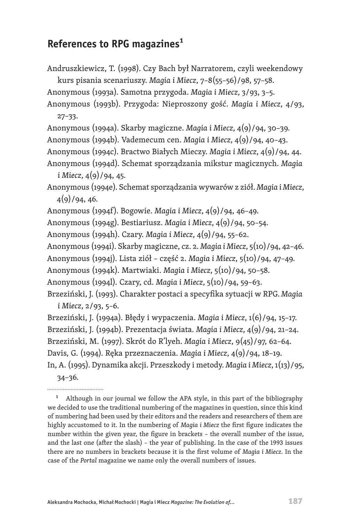## **References to RPG magazines1**

Andruszkiewicz, T. (1998). Czy Bach był Narratorem, czyli weekendowy kurs pisania scenariuszy. *Magia i Miecz*, 7–8(55–56)/98, 57–58.

Anonymous (1993a). Samotna przygoda. *Magia i Miecz*, 3/93, 3–5.

Anonymous (1993b). Przygoda: Nieproszony gość. *Magia i Miecz*, 4/93, 27–33.

Anonymous (1994a). Skarby magiczne. *Magia i Miecz*, 4(9)/94, 30–39.

Anonymous (1994b). Vademecum cen. *Magia i Miecz*, 4(9)/94, 40–43.

Anonymous (1994c). Bractwo Białych Mieczy. *Magia i Miecz*, 4(9)/94, 44.

Anonymous (1994d). Schemat sporządzania mikstur magicznych. *Magia i Miecz*, 4(9)/94, 45.

Anonymous (1994e). Schemat sporządzania wywarów z ziół. *Magia i Miecz*,  $4(9)/94, 46.$ 

Anonymous (1994f). Bogowie. *Magia i Miecz*, 4(9)/94, 46–49.

Anonymous (1994g). Bestiariusz. *Magia i Miecz*, 4(9)/94, 50–54.

Anonymous (1994h). Czary. *Magia i Miecz*, 4(9)/94, 55–62.

Anonymous (1994i). Skarby magiczne, cz. 2. *Magia i Miecz*, 5(10)/94, 42–46.

Anonymous (1994j). Lista ziół – część 2. *Magia i Miecz*, 5(10)/94, 47–49.

Anonymous (1994k). Martwiaki. *Magia i Miecz*, 5(10)/94, 50–58.

Anonymous (1994l). Czary, cd. *Magia i Miecz*, 5(10)/94, 59–63.

Brzeziński, J. (1993). Charakter postaci a specyfika sytuacji w RPG. *Magia i Miecz*, 2/93, 5–6.

Brzeziński, J. (1994a). Błędy i wypaczenia. *Magia i Miecz*, 1(6)/94, 15–17.

Brzeziński, J. (1994b). Prezentacja świata. *Magia i Miecz*, 4(9)/94, 21–24.

Brzeziński, M. (1997). Skrót do R'lyeh. *Magia i Miecz*, 9(45)/97, 62–64.

Davis, G. (1994). Ręka przeznaczenia. *Magia i Miecz*, 4(9)/94, 18–19.

In, A. (1995). Dynamika akcji. Przeszkody i metody. *Magia i Miecz*, 1(13)/95, 34–36.

<sup>1</sup> Although in our journal we follow the APA style, in this part of the bibliography we decided to use the traditional numbering of the magazines in question, since this kind of numbering had been used by their editors and the readers and researchers of them are highly accustomed to it. In the numbering of *Magia i Miecz* the first figure indicates the number within the given year, the figure in brackets – the overall number of the issue, and the last one (after the slash) – the year of publishing. In the case of the 1993 issues there are no numbers in brackets because it is the first volume of *Magia i Miecz*. In the case of the *Portal* magazine we name only the overall numbers of issues.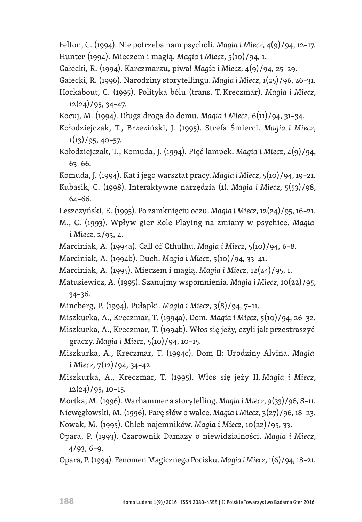- Felton, C. (1994). Nie potrzeba nam psycholi. *Magia i Miecz*, 4(9)/94, 12–17. Hunter (1994). Mieczem i magią. *Magia i Miecz*, 5(10)/94, 1.
- Gałecki, R. (1994). Karczmarzu, piwa! *Magia i Miecz*, 4(9)/94, 25–29.
- Gałecki, R. (1996). Narodziny storytellingu. *Magia i Miecz*, 1(25)/96, 26–31.
- Hockabout, C. (1995). Polityka bólu (trans. T. Kreczmar). *Magia i Miecz*, 12(24)/95, 34–47.
- Kocuj, M. (1994). Długa droga do domu. *Magia i Miecz*, 6(11)/94, 31–34.
- Kołodziejczak, T., Brzeziński, J. (1995). Strefa Śmierci. *Magia i Miecz*,  $1(13)/95, 40-57.$
- Kołodziejczak, T., Komuda, J. (1994). Pięć lampek. *Magia i Miecz*, 4(9)/94, 63–66.
- Komuda, J. (1994). Kat i jego warsztat pracy. *Magia i Miecz*, 5(10)/94, 19–21.
- Kubasik, C. (1998). Interaktywne narzędzia (1). *Magia i Miecz*, 5(53)/98, 64–66.
- Leszczyński, E. (1995). Po zamknięciu oczu. *Magia i Miecz*, 12(24)/95, 16–21.
- M., C. (1993). Wpływ gier Role-Playing na zmiany w psychice. *Magia i Miecz*, 2/93, 4.
- Marciniak, A. (1994a). Call of Cthulhu. *Magia i Miecz*, 5(10)/94, 6–8.
- Marciniak, A. (1994b). Duch. *Magia i Miecz*, 5(10)/94, 33–41.
- Marciniak, A. (1995). Mieczem i magią. *Magia i Miecz*, 12(24)/95, 1.
- Matusiewicz, A. (1995). Szanujmy wspomnienia. *Magia i Miecz*, 10(22)/95, 34–36.
- Mincberg, P. (1994). Pułapki. *Magia i Miecz*, 3(8)/94, 7–11.
- Miszkurka, A., Kreczmar, T. (1994a). Dom. *Magia i Miecz*, 5(10)/94, 26–32.
- Miszkurka, A., Kreczmar, T. (1994b). Włos się jeży, czyli jak przestraszyć graczy. *Magia i Miecz*, 5(10)/94, 10–15.
- Miszkurka, A., Kreczmar, T. (1994c). Dom II: Urodziny Alvina. *Magia i Miecz*, 7(12)/94, 34–42.
- Miszkurka, A., Kreczmar, T. (1995). Włos się jeży II. *Magia i Miecz*, 12(24)/95, 10–15.
- Mortka, M. (1996). Warhammer a storytelling. *Magia i Miecz*, 9(33)/96, 8–11. Niewęgłowski, M. (1996). Parę słów o walce. *Magia i Miecz*, 3(27)/96, 18–23. Nowak, M. (1995). Chleb najemników. *Magia i Miecz*, 10(22)/95, 33.
- Opara, P. (1993). Czarownik Damazy o niewidzialności. *Magia i Miecz*, 4/93, 6–9.
- Opara, P. (1994). Fenomen Magicznego Pocisku. *Magia i Miecz*,1(6)/94, 18–21.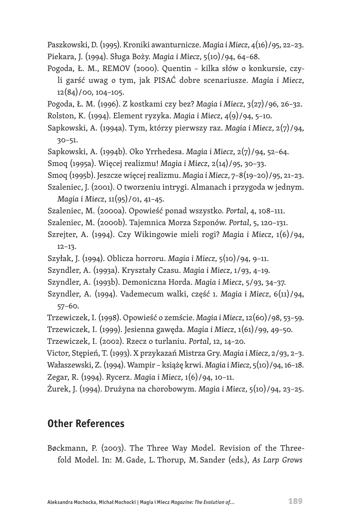Paszkowski, D. (1995). Kroniki awanturnicze. *Magia i Miecz*, 4(16)/95, 22–23. Piekara, J. (1994). Sługa Boży. *Magia i Miecz*, 5(10)/94, 64–68.

- Pogoda, Ł. M., REMOV (2000). Quentin kilka słów o konkursie, czyli garść uwag o tym, jak PISAĆ dobre scenariusze. *Magia i Miecz*,  $12(84)/00$ ,  $104-105$ .
- Pogoda, Ł. M. (1996). Z kostkami czy bez? *Magia i Miecz*, 3(27)/96, 26–32. Rolston, K. (1994). Element ryzyka. *Magia i Miecz*, 4(9)/94, 5–10.
- Sapkowski, A. (1994a). Tym, którzy pierwszy raz. *Magia i Miecz*, 2(7)/94, 30–51.
- Sapkowski, A. (1994b). Oko Yrrhedesa. *Magia i Miecz*, 2(7)/94, 52–64.
- Smoq (1995a). Więcej realizmu! *Magia i Miecz*, 2(14)/95, 30–33.
- Smoq (1995b). Jeszcze więcej realizmu. *Magia i Miecz*, 7–8(19–20)/95, 21–23.
- Szaleniec, J. (2001). O tworzeniu intrygi. Almanach i przygoda w jednym. *Magia i Miecz*, 11(95)/01, 41–45.

Szaleniec, M. (2000a). Opowieść ponad wszystko. *Portal*, 4, 108–111.

- Szaleniec, M. (2000b). Tajemnica Morza Szponów. *Portal*, 5, 120–131.
- Szrejter, A. (1994). Czy Wikingowie mieli rogi? *Magia i Miecz*, 1(6)/94, 12–13.
- Szyłak, J. (1994). Oblicza horroru. *Magia i Miecz*, 5(10)/94, 9–11.
- Szyndler, A. (1993a). Kryształy Czasu. *Magia i Miecz*, 1/93, 4–19.
- Szyndler, A. (1993b). Demoniczna Horda. *Magia i Miecz*, 5/93, 34–37.
- Szyndler, A. (1994). Vademecum walki, część 1. *Magia i Miecz*, 6(11)/94, 57–60.
- Trzewiczek, I. (1998). Opowieść o zemście. *Magia i Miecz*, 12(60)/98, 53–59.
- Trzewiczek, I. (1999). Jesienna gawęda. *Magia i Miecz*, 1(61)/99, 49–50.

Trzewiczek, I. (2002). Rzecz o turlaniu. *Portal*, 12, 14–20.

Victor, Stępień, T. (1993). X przykazań Mistrza Gry. *Magia i Miecz*, 2/93, 2–3. Wałaszewski, Z. (1994). Wampir – książę krwi. *Magia i Miecz*, 5(10)/94, 16–18. Zegar, R. (1994). Rycerz. *Magia i Miecz*, 1(6)/94, 10–11.

Żurek, J. (1994). Drużyna na chorobowym. *Magia i Miecz*, 5(10)/94, 23–25.

# **Other References**

Bøckmann, P. (2003). The Three Way Model. Revision of the Threefold Model. In: M. Gade, L. Thorup, M. Sander (eds.), *As Larp Grows*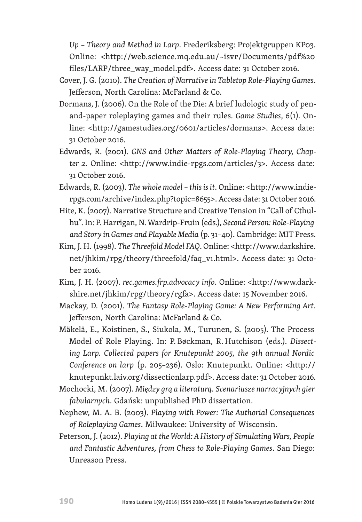*Up* – *Theory and Method in Larp*. Frederiksberg: Projektgruppen KP03. Online: <http://web.science.mq.edu.au/~isvr/Documents/pdf%20 files/LARP/three\_way\_model.pdf>. Access date: 31 October 2016.

- Cover, J. G. (2010). *The Creation of Narrative in Tabletop Role-Playing Games*. Jefferson, North Carolina: McFarland & Co.
- Dormans, J. (2006). On the Role of the Die: A brief ludologic study of penand-paper roleplaying games and their rules. *Game Studies*, *6*(1). Online: <http://gamestudies.org/0601/articles/dormans>. Access date: 31 October 2016.
- Edwards, R. (2001). *GNS and Other Matters of Role-Playing Theory, Chapter 2*. Online: <http://www.indie-rpgs.com/articles/3>. Access date: 31 October 2016.
- Edwards, R. (2003). *The whole model this is it*. Online: <http://www.indierpgs.com/archive/index.php?topic=8655>. Access date: 31 October 2016.
- Hite, K. (2007). Narrative Structure and Creative Tension in "Call of Cthulhu". In: P. Harrigan, N.Wardrip-Fruin (eds.), *Second Person: Role-Playing and Story in Games and Playable Media* (p. 31–40). Cambridge: MIT Press.
- Kim, J. H. (1998). *The Threefold Model FAQ*.Online: <http://www.darkshire. net/jhkim/rpg/theory/threefold/faq\_v1.html>. Access date: 31 October 2016.
- Kim, J. H. (2007). *rec.games.frp.advocacy info*. Online: <http://www.darkshire.net/jhkim/rpg/theory/rgfa>. Access date: 15 November 2016.
- Mackay, D. (2001). *The Fantasy Role-Playing Game: A New Performing Art*. Jefferson, North Carolina: McFarland & Co.
- Mäkelä, E., Koistinen, S., Siukola, M., Turunen, S. (2005). The Process Model of Role Playing. In: P. Bøckman, R. Hutchison (eds.). *Dissecting Larp. Collected papers for Knutepunkt 2005, the 9th annual Nordic Conference on larp* (p. 205–236). Oslo: Knutepunkt. Online: <http:// knutepunkt.laiv.org/dissectionlarp.pdf>. Access date: 31 October 2016.
- Mochocki, M. (2007). *Między grą a literaturą. Scenariusze narracyjnych gier fabularnych*. Gdańsk: unpublished PhD dissertation.
- Nephew, M. A. B. (2003). *Playing with Power: The Authorial Consequences of Roleplaying Games*. Milwaukee: University of Wisconsin.
- Peterson, J. (2012). *Playing at the World: A History of Simulating Wars, People and Fantastic Adventures, from Chess to Role-Playing Games*. San Diego: Unreason Press.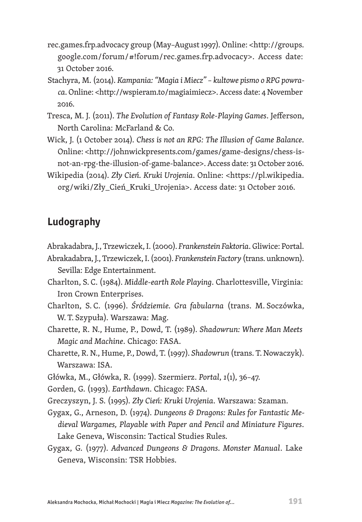- rec.games.frp.advocacy group (May–August 1997). Online: <http://groups. google.com/forum/#!forum/rec.games.frp.advocacy>. Access date: 31 October 2016.
- Stachyra, M. (2014). *Kampania: "Magia i Miecz" kultowe pismo o RPG powraca*. Online: <http://wspieram.to/magiaimiecz>. Access date: 4 November 2016.
- Tresca, M. J. (2011). *The Evolution of Fantasy Role-Playing Games*. Jefferson, North Carolina: McFarland & Co.
- Wick, J. (1 October 2014). *Chess is not an RPG: The Illusion of Game Balance*. Online: <http://johnwickpresents.com/games/game-designs/chess-isnot-an-rpg-the-illusion-of-game-balance>. Access date: 31 October 2016.
- Wikipedia (2014). *Zły Cień. Kruki Urojenia*. Online: <https://pl.wikipedia. org/wiki/Zły\_Cień\_Kruki\_Urojenia>. Access date: 31 October 2016.

# **Ludography**

Abrakadabra, J., Trzewiczek, I. (2000). *Frankenstein Faktoria*. Gliwice: Portal.

Abrakadabra, J., Trzewiczek, I. (2001). *Frankenstein Factory* (trans. unknown). Sevilla: Edge Entertainment.

- Charlton, S. C. (1984). *Middle-earth Role Playing*. Charlottesville, Virginia: Iron Crown Enterprises.
- Charlton, S. C. (1996). *Śródziemie. Gra fabularna* (trans. M. Soczówka, W. T. Szypuła). Warszawa: Mag.
- Charette, R. N., Hume, P., Dowd, T. (1989). *Shadowrun: Where Man Meets Magic and Machine*. Chicago: FASA.
- Charette, R. N., Hume, P., Dowd, T. (1997). *Shadowrun* (trans. T. Nowaczyk). Warszawa: ISA.

Główka, M., Główka, R. (1999). Szermierz. *Portal*, *1*(1), 36–47.

Gorden, G. (1993). *Earthdawn*. Chicago: FASA.

Greczyszyn, J. S. (1995). *Zły Cień: Kruki Urojenia*. Warszawa: Szaman.

Gygax, G., Arneson, D. (1974). *Dungeons & Dragons: Rules for Fantastic Medieval Wargames, Playable with Paper and Pencil and Miniature Figures*. Lake Geneva, Wisconsin: Tactical Studies Rules.

Gygax, G. (1977). *Advanced Dungeons & Dragons. Monster Manual*. Lake Geneva, Wisconsin: TSR Hobbies.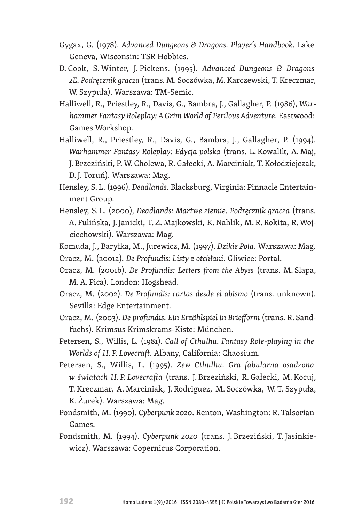- Gygax, G. (1978). *Advanced Dungeons & Dragons. Player's Handbook*. Lake Geneva, Wisconsin: TSR Hobbies.
- D. Cook, S. Winter, J. Pickens. (1995). *Advanced Dungeons & Dragons 2E. Podręcznik gracza* (trans. M. Soczówka, M. Karczewski, T. Kreczmar, W. Szypuła). Warszawa: TM-Semic.
- Halliwell, R., Priestley, R., Davis, G., Bambra, J., Gallagher, P. (1986), *Warhammer Fantasy Roleplay: A Grim World of Perilous Adventure*. Eastwood: Games Workshop.
- Halliwell, R., Priestley, R., Davis, G., Bambra, J., Gallagher, P. (1994). *Warhammer Fantasy Roleplay: Edycja polska* (trans. L. Kowalik, A. Maj, J. Brzeziński, P. W. Cholewa, R. Gałecki, A. Marciniak, T. Kołodziejczak, D. J. Toruń). Warszawa: Mag.
- Hensley, S. L. (1996). *Deadlands*. Blacksburg, Virginia: Pinnacle Entertainment Group.
- Hensley, S. L. (2000), *Deadlands: Martwe ziemie. Podręcznik gracza* (trans. A. Fulińska, J. Janicki, T. Z. Majkowski, K. Nahlik, M. R. Rokita, R. Wojciechowski). Warszawa: Mag.
- Komuda, J., Baryłka, M., Jurewicz, M. (1997). *Dzikie Pola*. Warszawa: Mag.
- Oracz, M. (2001a). *De Profundis: Listy z otchłani*. Gliwice: Portal.
- Oracz, M. (2001b). *De Profundis: Letters from the Abyss* (trans. M. Slapa, M.A. Pica). London: Hogshead.
- Oracz, M. (2002). *De Profundis: cartas desde el abismo* (trans. unknown). Sevilla: Edge Entertainment.
- Oracz, M. (2003). *De profundis. Ein Erzählspiel in Briefform* (trans. R. Sandfuchs). Krimsus Krimskrams-Kiste: München.
- Petersen, S., Willis, L. (1981). *Call of Cthulhu. Fantasy Role-playing in the Worlds of H. P. Lovecraft*. Albany, California: Chaosium.
- Petersen, S., Willis, L. (1995). *Zew Cthulhu. Gra fabularna osadzona w światach H. P. Lovecrafta* (trans. J. Brzeziński, R. Gałecki, M. Kocuj, T. Kreczmar, A. Marciniak, J. Rodriguez, M. Soczówka, W. T. Szypuła, K. Żurek). Warszawa: Mag.
- Pondsmith, M. (1990). *Cyberpunk 2020*. Renton, Washington: R. Talsorian Games.
- Pondsmith, M. (1994). *Cyberpunk 2020* (trans. J. Brzeziński, T. Jasinkiewicz). Warszawa: Copernicus Corporation.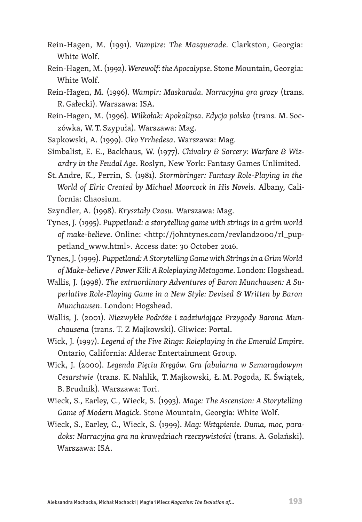- Rein-Hagen, M. (1991). *Vampire: The Masquerade*. Clarkston, Georgia: White Wolf.
- Rein-Hagen, M. (1992). *Werewolf: the Apocalypse*. Stone Mountain, Georgia: White Wolf.
- Rein-Hagen, M. (1996). *Wampir: Maskarada. Narracyjna gra grozy* (trans. R. Gałecki). Warszawa: ISA.
- Rein-Hagen, M. (1996). *Wilkołak: Apokalipsa. Edycja polska* (trans. M. Soczówka, W. T. Szypuła). Warszawa: Mag.
- Sapkowski, A. (1999). *Oko Yrrhedesa*. Warszawa: Mag.
- Simbalist, E. E., Backhaus, W. (1977). *Chivalry & Sorcery: Warfare & Wizardry in the Feudal Age*. Roslyn, New York: Fantasy Games Unlimited.
- St.Andre, K., Perrin, S. (1981). *Stormbringer: Fantasy Role-Playing in the World of Elric Created by Michael Moorcock in His Novels*. Albany, California: Chaosium.
- Szyndler, A. (1998). *Kryształy Czasu*. Warszawa: Mag.
- Tynes, J. (1995). *Puppetland: a storytelling game with strings in a grim world of make-believe*. Online: <http://johntynes.com/revland2000/rl\_puppetland\_www.html>. Access date: 30 October 2016.
- Tynes, J. (1999). *Puppetland: A Storytelling Game with Strings in a Grim World of Make-believe / Power Kill: A Roleplaying Metagame*. London: Hogshead.
- Wallis, J. (1998). *The extraordinary Adventures of Baron Munchausen: A Superlative Role-Playing Game in a New Style: Devised & Written by Baron Munchausen*. London: Hogshead.
- Wallis, J. (2001). *Niezwykłe Podróże i zadziwiające Przygody Barona Munchausena* (trans. T. Z Majkowski). Gliwice: Portal.
- Wick, J. (1997). *Legend of the Five Rings: Roleplaying in the Emerald Empire*. Ontario, California: Alderac Entertainment Group.
- Wick, J. (2000). *Legenda Pięciu Kręgów. Gra fabularna w Szmaragdowym Cesarstwie* (trans. K. Nahlik, T. Majkowski, Ł. M. Pogoda, K. Świątek, B. Brudnik). Warszawa: Tori.
- Wieck, S., Earley, C., Wieck, S. (1993). *Mage: The Ascension: A Storytelling Game of Modern Magick*. Stone Mountain, Georgia: White Wolf.
- Wieck, S., Earley, C., Wieck, S. (1999). *Mag: Wstąpienie. Duma, moc, paradoks: Narracyjna gra na krawędziach rzeczywistości* (trans. A. Golański). Warszawa: ISA.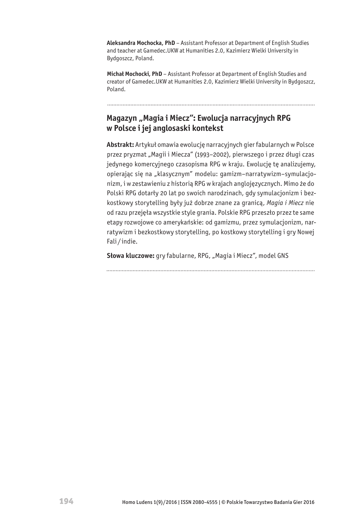**Aleksandra Mochocka, PhD** – Assistant Professor at Department of English Studies and teacher at Gamedec.UKW at Humanities 2.0, Kazimierz Wielki University in Bydgoszcz, Poland.

**Michał Mochocki, PhD** – Assistant Professor at Department of English Studies and creator of Gamedec.UKW at Humanities 2.0, Kazimierz Wielki University in Bydgoszcz, Poland.

#### **Magazyn "Magia i Miecz": Ewolucja narracyjnych RPG w Polsce i jej anglosaski kontekst**

**Abstrakt:** Artykuł omawia ewolucję narracyjnych gier fabularnych w Polsce przez pryzmat "Magii i Miecza" (1993–2002), pierwszego i przez długi czas jedynego komercyjnego czasopisma RPG w kraju. Ewolucję tę analizujemy, opierając się na "klasycznym" modelu: gamizm-narratywizm-symulacjonizm, i w zestawieniu z historią RPG w krajach anglojęzycznych. Mimo że do Polski RPG dotarły 20 lat po swoich narodzinach, gdy symulacjonizm i bezkostkowy storytelling były już dobrze znane za granicą, *Magia i Miecz* nie od razu przejęła wszystkie style grania. Polskie RPG przeszło przez te same etapy rozwojowe co amerykańskie: od gamizmu, przez symulacjonizm, narratywizm i bezkostkowy storytelling, po kostkowy storytelling i gry Nowej Fali / indie.

Słowa kluczowe: gry fabularne, RPG, "Magia i Miecz", model GNS